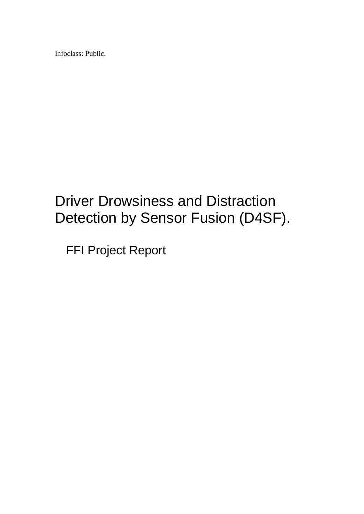Infoclass: Public.

# Driver Drowsiness and Distraction Detection by Sensor Fusion (D4SF).

FFI Project Report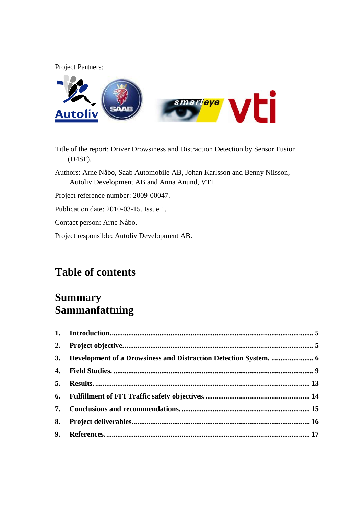Project Partners:



- Title of the report: Driver Drowsiness and Distraction Detection by Sensor Fusion (D4SF).
- Authors: Arne Nåbo, Saab Automobile AB, Johan Karlsson and Benny Nilsson, Autoliv Development AB and Anna Anund, VTI.

Project reference number: 2009-00047.

Publication date: 2010-03-15. Issue 1.

Contact person: Arne Nåbo.

Project responsible: Autoliv Development AB.

### **Table of contents**

### **Summary Sammanfattning**

| 8. |  |
|----|--|
|    |  |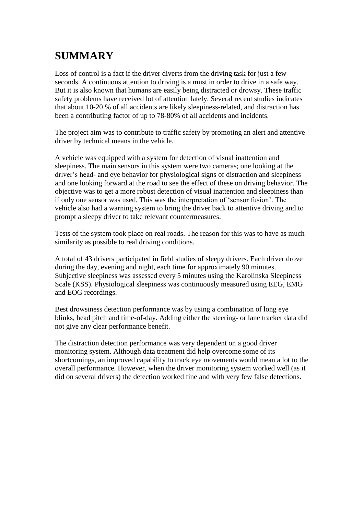### **SUMMARY**

Loss of control is a fact if the driver diverts from the driving task for just a few seconds. A continuous attention to driving is a must in order to drive in a safe way. But it is also known that humans are easily being distracted or drowsy. These traffic safety problems have received lot of attention lately. Several recent studies indicates that about 10-20 % of all accidents are likely sleepiness-related, and distraction has been a contributing factor of up to 78-80% of all accidents and incidents.

The project aim was to contribute to traffic safety by promoting an alert and attentive driver by technical means in the vehicle.

A vehicle was equipped with a system for detection of visual inattention and sleepiness. The main sensors in this system were two cameras; one looking at the driver"s head- and eye behavior for physiological signs of distraction and sleepiness and one looking forward at the road to see the effect of these on driving behavior. The objective was to get a more robust detection of visual inattention and sleepiness than if only one sensor was used. This was the interpretation of "sensor fusion". The vehicle also had a warning system to bring the driver back to attentive driving and to prompt a sleepy driver to take relevant countermeasures.

Tests of the system took place on real roads. The reason for this was to have as much similarity as possible to real driving conditions.

A total of 43 drivers participated in field studies of sleepy drivers. Each driver drove during the day, evening and night, each time for approximately 90 minutes. Subjective sleepiness was assessed every 5 minutes using the Karolinska Sleepiness Scale (KSS). Physiological sleepiness was continuously measured using EEG, EMG and EOG recordings.

Best drowsiness detection performance was by using a combination of long eye blinks, head pitch and time-of-day. Adding either the steering- or lane tracker data did not give any clear performance benefit.

The distraction detection performance was very dependent on a good driver monitoring system. Although data treatment did help overcome some of its shortcomings, an improved capability to track eye movements would mean a lot to the overall performance. However, when the driver monitoring system worked well (as it did on several drivers) the detection worked fine and with very few false detections.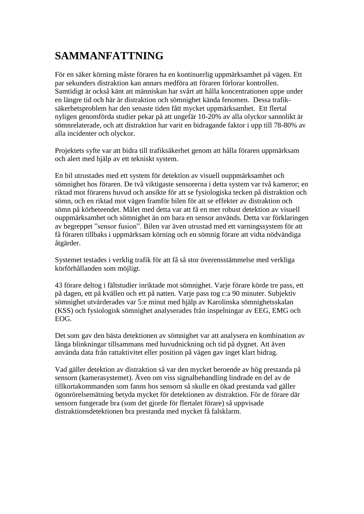### **SAMMANFATTNING**

För en säker körning måste föraren ha en kontinuerlig uppmärksamhet på vägen. Ett par sekunders distraktion kan annars medföra att föraren förlorar kontrollen. Samtidigt är också känt att människan har svårt att hålla koncentrationen uppe under en längre tid och här är distraktion och sömnighet kända fenomen. Dessa trafiksäkerhetsproblem har den senaste tiden fått mycket uppmärksamhet. Ett flertal nyligen genomförda studier pekar på att ungefär 10-20% av alla olyckor sannolikt är sömnrelaterade, och att distraktion har varit en bidragande faktor i upp till 78-80% av alla incidenter och olyckor.

Projektets syfte var att bidra till trafiksäkerhet genom att hålla föraren uppmärksam och alert med hjälp av ett tekniskt system.

En bil utrustades med ett system för detektion av visuell ouppmärksamhet och sömnighet hos föraren. De två viktigaste sensorerna i detta system var två kameror; en riktad mot förarens huvud och ansikte för att se fysiologiska tecken på distraktion och sömn, och en riktad mot vägen framför bilen för att se effekter av distraktion och sömn på körbeteendet. Målet med detta var att få en mer robust detektion av visuell ouppmärksamhet och sömnighet än om bara en sensor används. Detta var förklaringen av begreppet "sensor fusion". Bilen var även utrustad med ett varningssystem för att få föraren tillbaks i uppmärksam körning och en sömnig förare att vidta nödvändiga åtgärder.

Systemet testades i verklig trafik för att få så stor överensstämmelse med verkliga körförhållanden som möjligt.

43 förare deltog i fältstudier inriktade mot sömnighet. Varje förare körde tre pass, ett på dagen, ett på kvällen och ett på natten. Varje pass tog c:a 90 minuter. Subjektiv sömnighet utvärderades var 5:e minut med hjälp av Karolinska sömnighetsskalan (KSS) och fysiologisk sömnighet analyserades från inspelningar av EEG, EMG och EOG.

Det som gav den bästa detektionen av sömnighet var att analysera en kombination av långa blinkningar tillsammans med huvudnickning och tid på dygnet. Att även använda data från rattaktivitet eller position på vägen gav inget klart bidrag.

Vad gäller detektion av distraktion så var den mycket beroende av hög prestanda på sensorn (kamerasystemet). Även om viss signalbehandling lindrade en del av de tillkortakommanden som fanns hos sensorn så skulle en ökad prestanda vad gäller ögonrörelsemätning betyda mycket för detektionen av distraktion. För de förare där sensorn fungerade bra (som det gjorde för flertalet förare) så uppvisade distraktionsdetektionen bra prestanda med mycket få falsklarm.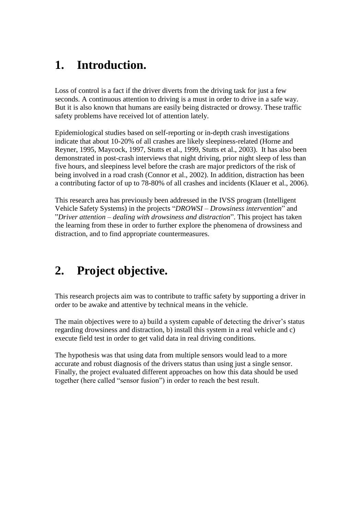### <span id="page-4-0"></span>**1. Introduction.**

Loss of control is a fact if the driver diverts from the driving task for just a few seconds. A continuous attention to driving is a must in order to drive in a safe way. But it is also known that humans are easily being distracted or drowsy. These traffic safety problems have received lot of attention lately.

Epidemiological studies based on self-reporting or in-depth crash investigations indicate that about 10-20% of all crashes are likely sleepiness-related (Horne and Reyner, 1995, Maycock, 1997, Stutts et al., 1999, Stutts et al., 2003). It has also been demonstrated in post-crash interviews that night driving, prior night sleep of less than five hours, and sleepiness level before the crash are major predictors of the risk of being involved in a road crash (Connor et al., 2002). In addition, distraction has been a contributing factor of up to 78-80% of all crashes and incidents (Klauer et al., 2006).

This research area has previously been addressed in the IVSS program (Intelligent Vehicle Safety Systems) in the projects "*DROWSI – Drowsiness intervention*" and "*Driver attention – dealing with drowsiness and distraction*". This project has taken the learning from these in order to further explore the phenomena of drowsiness and distraction, and to find appropriate countermeasures.

# <span id="page-4-1"></span>**2. Project objective.**

This research projects aim was to contribute to traffic safety by supporting a driver in order to be awake and attentive by technical means in the vehicle.

The main objectives were to a) build a system capable of detecting the driver's status regarding drowsiness and distraction, b) install this system in a real vehicle and c) execute field test in order to get valid data in real driving conditions.

The hypothesis was that using data from multiple sensors would lead to a more accurate and robust diagnosis of the drivers status than using just a single sensor. Finally, the project evaluated different approaches on how this data should be used together (here called "sensor fusion") in order to reach the best result.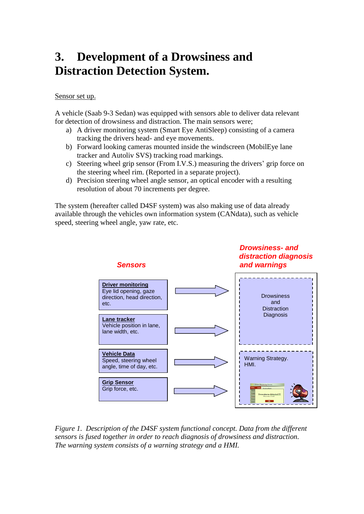# <span id="page-5-0"></span>**3. Development of a Drowsiness and Distraction Detection System.**

#### Sensor set up.

A vehicle (Saab 9-3 Sedan) was equipped with sensors able to deliver data relevant for detection of drowsiness and distraction. The main sensors were;

- a) A driver monitoring system (Smart Eye AntiSleep) consisting of a camera tracking the drivers head- and eye movements.
- b) Forward looking cameras mounted inside the windscreen (MobilEye lane tracker and Autoliv SVS) tracking road markings.
- c) Steering wheel grip sensor (From I.V.S.) measuring the drivers" grip force on the steering wheel rim. (Reported in a separate project).
- d) Precision steering wheel angle sensor, an optical encoder with a resulting resolution of about 70 increments per degree.

The system (hereafter called D4SF system) was also making use of data already available through the vehicles own information system (CANdata), such as vehicle speed, steering wheel angle, yaw rate, etc.



*Figure 1. Description of the D4SF system functional concept. Data from the different sensors is fused together in order to reach diagnosis of drowsiness and distraction. The warning system consists of a warning strategy and a HMI.*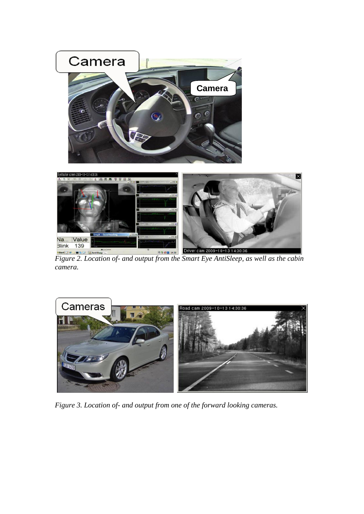

 $\overline{\times}$ 

*Figure 2. Location of- and output from the Smart Eye AntiSleep, as well as the cabin camera.*



*Figure 3. Location of- and output from one of the forward looking cameras.*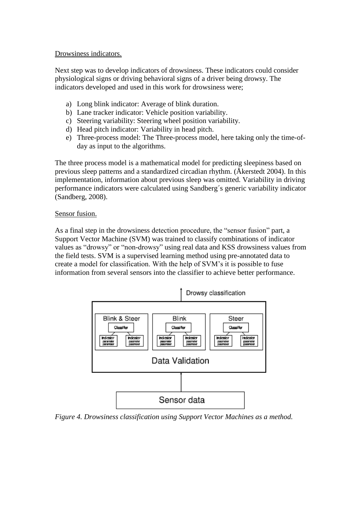#### Drowsiness indicators.

Next step was to develop indicators of drowsiness. These indicators could consider physiological signs or driving behavioral signs of a driver being drowsy. The indicators developed and used in this work for drowsiness were;

- a) Long blink indicator: Average of blink duration.
- b) Lane tracker indicator: Vehicle position variability.
- c) Steering variability: Steering wheel position variability.
- d) Head pitch indicator: Variability in head pitch.
- e) Three-process model: The Three-process model, here taking only the time-ofday as input to the algorithms.

The three process model is a mathematical model for predicting sleepiness based on previous sleep patterns and a standardized circadian rhythm. (Åkerstedt 2004). In this implementation, information about previous sleep was omitted. Variability in driving performance indicators were calculated using Sandberg´s generic variability indicator (Sandberg, 2008).

#### Sensor fusion.

As a final step in the drowsiness detection procedure, the "sensor fusion" part, a Support Vector Machine (SVM) was trained to classify combinations of indicator values as "drowsy" or "non-drowsy" using real data and KSS drowsiness values from the field tests. SVM is a supervised learning method using pre-annotated data to create a model for classification. With the help of SVM"s it is possible to fuse information from several sensors into the classifier to achieve better performance.



*Figure 4. Drowsiness classification using Support Vector Machines as a method.*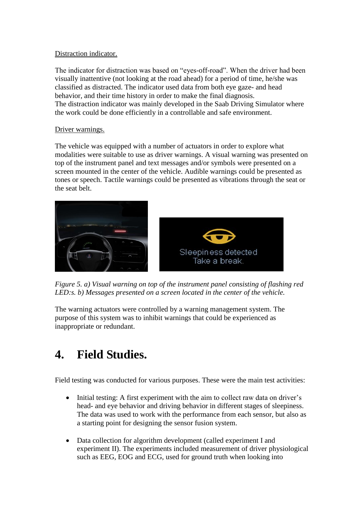#### Distraction indicator.

The indicator for distraction was based on "eyes-off-road". When the driver had been visually inattentive (not looking at the road ahead) for a period of time, he/she was classified as distracted. The indicator used data from both eye gaze- and head behavior, and their time history in order to make the final diagnosis. The distraction indicator was mainly developed in the Saab Driving Simulator where the work could be done efficiently in a controllable and safe environment.

#### Driver warnings.

The vehicle was equipped with a number of actuators in order to explore what modalities were suitable to use as driver warnings. A visual warning was presented on top of the instrument panel and text messages and/or symbols were presented on a screen mounted in the center of the vehicle. Audible warnings could be presented as tones or speech. Tactile warnings could be presented as vibrations through the seat or the seat belt.



*Figure 5. a) Visual warning on top of the instrument panel consisting of flashing red LED:s. b) Messages presented on a screen located in the center of the vehicle.*

The warning actuators were controlled by a warning management system. The purpose of this system was to inhibit warnings that could be experienced as inappropriate or redundant.

# <span id="page-8-0"></span>**4. Field Studies.**

Field testing was conducted for various purposes. These were the main test activities:

- Initial testing: A first experiment with the aim to collect raw data on driver's head- and eye behavior and driving behavior in different stages of sleepiness. The data was used to work with the performance from each sensor, but also as a starting point for designing the sensor fusion system.
- Data collection for algorithm development (called experiment I and experiment II). The experiments included measurement of driver physiological such as EEG, EOG and ECG, used for ground truth when looking into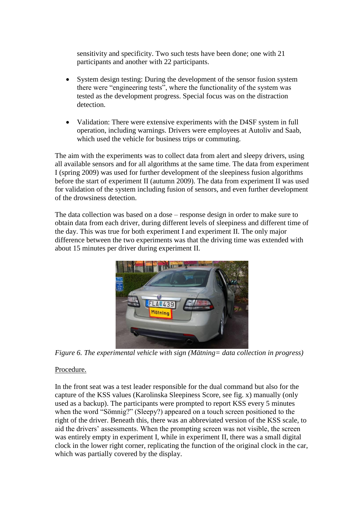sensitivity and specificity. Two such tests have been done; one with 21 participants and another with 22 participants.

- System design testing: During the development of the sensor fusion system there were "engineering tests", where the functionality of the system was tested as the development progress. Special focus was on the distraction detection.
- Validation: There were extensive experiments with the D4SF system in full operation, including warnings. Drivers were employees at Autoliv and Saab, which used the vehicle for business trips or commuting.

The aim with the experiments was to collect data from alert and sleepy drivers, using all available sensors and for all algorithms at the same time. The data from experiment I (spring 2009) was used for further development of the sleepiness fusion algorithms before the start of experiment II (autumn 2009). The data from experiment II was used for validation of the system including fusion of sensors, and even further development of the drowsiness detection.

The data collection was based on a dose – response design in order to make sure to obtain data from each driver, during different levels of sleepiness and different time of the day. This was true for both experiment I and experiment II. The only major difference between the two experiments was that the driving time was extended with about 15 minutes per driver during experiment II.



*Figure 6. The experimental vehicle with sign (Mätning= data collection in progress)*

#### Procedure.

In the front seat was a test leader responsible for the dual command but also for the capture of the KSS values (Karolinska Sleepiness Score, see fig. x) manually (only used as a backup). The participants were prompted to report KSS every 5 minutes when the word "Sömnig?" (Sleepy?) appeared on a touch screen positioned to the right of the driver. Beneath this, there was an abbreviated version of the KSS scale, to aid the drivers' assessments. When the prompting screen was not visible, the screen was entirely empty in experiment I, while in experiment II, there was a small digital clock in the lower right corner, replicating the function of the original clock in the car, which was partially covered by the display.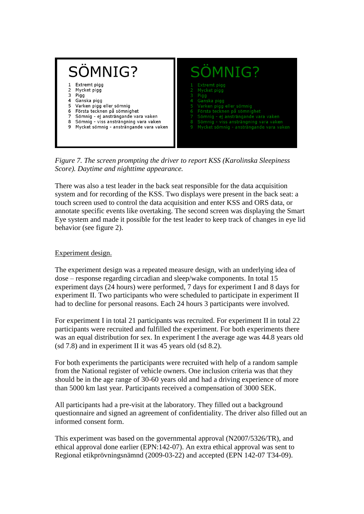

*Figure 7. The screen prompting the driver to report KSS (Karolinska Sleepiness Score). Daytime and nighttime appearance.*

There was also a test leader in the back seat responsible for the data acquisition system and for recording of the KSS. Two displays were present in the back seat: a touch screen used to control the data acquisition and enter KSS and ORS data, or annotate specific events like overtaking. The second screen was displaying the Smart Eye system and made it possible for the test leader to keep track of changes in eye lid behavior (see figure 2).

#### Experiment design.

The experiment design was a repeated measure design, with an underlying idea of dose – response regarding circadian and sleep/wake components. In total 15 experiment days (24 hours) were performed, 7 days for experiment I and 8 days for experiment II. Two participants who were scheduled to participate in experiment II had to decline for personal reasons. Each 24 hours 3 participants were involved.

For experiment I in total 21 participants was recruited. For experiment II in total 22 participants were recruited and fulfilled the experiment. For both experiments there was an equal distribution for sex. In experiment I the average age was 44.8 years old (sd 7.8) and in experiment II it was 45 years old (sd 8.2).

For both experiments the participants were recruited with help of a random sample from the National register of vehicle owners. One inclusion criteria was that they should be in the age range of 30-60 years old and had a driving experience of more than 5000 km last year. Participants received a compensation of 3000 SEK.

All participants had a pre-visit at the laboratory. They filled out a background questionnaire and signed an agreement of confidentiality. The driver also filled out an informed consent form.

This experiment was based on the governmental approval (N2007/5326/TR), and ethical approval done earlier (EPN:142-07). An extra ethical approval was sent to Regional etikprövningsnämnd (2009-03-22) and accepted (EPN 142-07 T34-09).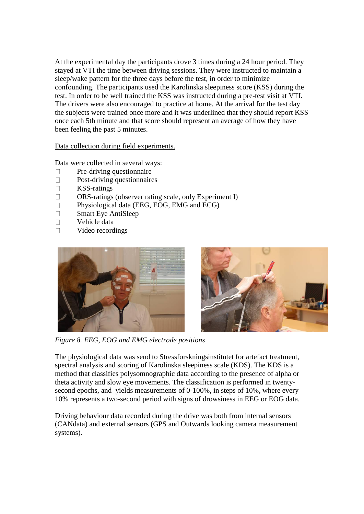At the experimental day the participants drove 3 times during a 24 hour period. They stayed at VTI the time between driving sessions. They were instructed to maintain a sleep/wake pattern for the three days before the test, in order to minimize confounding. The participants used the Karolinska sleepiness score (KSS) during the test. In order to be well trained the KSS was instructed during a pre-test visit at VTI. The drivers were also encouraged to practice at home. At the arrival for the test day the subjects were trained once more and it was underlined that they should report KSS once each 5th minute and that score should represent an average of how they have been feeling the past 5 minutes.

Data collection during field experiments.

Data were collected in several ways:

- Pre-driving questionnaire  $\Box$
- Post-driving questionnaires  $\Box$
- $\Box$ KSS-ratings
- $\Box$ ORS-ratings (observer rating scale, only Experiment I)
- $\Box$ Physiological data (EEG, EOG, EMG and ECG)
- Smart Eye AntiSleep  $\Box$
- $\Box$ Vehicle data
- $\Box$ Video recordings





*Figure 8. EEG, EOG and EMG electrode positions*

The physiological data was send to Stressforskningsinstitutet for artefact treatment, spectral analysis and scoring of Karolinska sleepiness scale (KDS). The KDS is a method that classifies polysomnographic data according to the presence of alpha or theta activity and slow eye movements. The classification is performed in twentysecond epochs, and yields measurements of 0-100%, in steps of 10%, where every 10% represents a two-second period with signs of drowsiness in EEG or EOG data.

Driving behaviour data recorded during the drive was both from internal sensors (CANdata) and external sensors (GPS and Outwards looking camera measurement systems).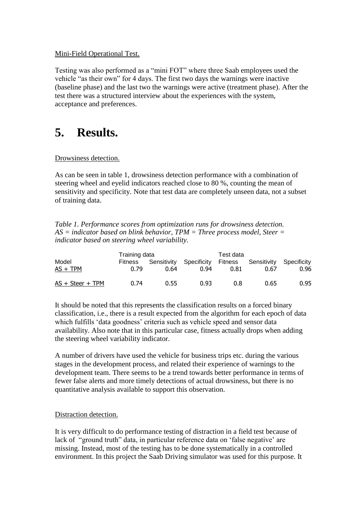#### Mini-Field Operational Test.

Testing was also performed as a "mini FOT" where three Saab employees used the vehicle "as their own" for 4 days. The first two days the warnings were inactive (baseline phase) and the last two the warnings were active (treatment phase). After the test there was a structured interview about the experiences with the system, acceptance and preferences.

### <span id="page-12-0"></span>**5. Results.**

#### Drowsiness detection.

As can be seen in table 1, drowsiness detection performance with a combination of steering wheel and eyelid indicators reached close to 80 %, counting the mean of sensitivity and specificity. Note that test data are completely unseen data, not a subset of training data.

*Table 1. Performance scores from optimization runs for drowsiness detection. AS = indicator based on blink behavior, TPM = Three process model, Steer = indicator based on steering wheel variability.*

|                     | Training data   | Test data |                                 |      |                                         |      |
|---------------------|-----------------|-----------|---------------------------------|------|-----------------------------------------|------|
| Model<br>$AS + TPM$ | Fitness<br>0.79 | 0.64      | Sensitivity Specificity<br>0.94 | 0.81 | Fitness Sensitivity Specificity<br>0.67 | 0.96 |
| $AS + Steer + TPM$  | 0.74            | 0.55      | 0.93                            | 0.8  | 0.65                                    | 0.95 |

It should be noted that this represents the classification results on a forced binary classification, i.e., there is a result expected from the algorithm for each epoch of data which fulfills 'data goodness' criteria such as vehicle speed and sensor data availability. Also note that in this particular case, fitness actually drops when adding the steering wheel variability indicator.

A number of drivers have used the vehicle for business trips etc. during the various stages in the development process, and related their experience of warnings to the development team. There seems to be a trend towards better performance in terms of fewer false alerts and more timely detections of actual drowsiness, but there is no quantitative analysis available to support this observation.

#### Distraction detection.

It is very difficult to do performance testing of distraction in a field test because of lack of "ground truth" data, in particular reference data on 'false negative' are missing. Instead, most of the testing has to be done systematically in a controlled environment. In this project the Saab Driving simulator was used for this purpose. It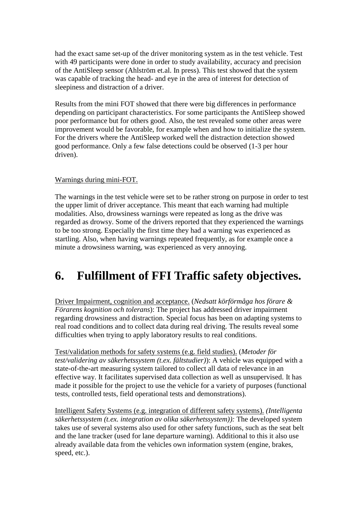had the exact same set-up of the driver monitoring system as in the test vehicle. Test with 49 participants were done in order to study availability, accuracy and precision of the AntiSleep sensor (Ahlström et.al. In press). This test showed that the system was capable of tracking the head- and eye in the area of interest for detection of sleepiness and distraction of a driver.

Results from the mini FOT showed that there were big differences in performance depending on participant characteristics. For some participants the AntiSleep showed poor performance but for others good. Also, the test revealed some other areas were improvement would be favorable, for example when and how to initialize the system. For the drivers where the AntiSleep worked well the distraction detection showed good performance. Only a few false detections could be observed (1-3 per hour driven).

#### Warnings during mini-FOT.

The warnings in the test vehicle were set to be rather strong on purpose in order to test the upper limit of driver acceptance. This meant that each warning had multiple modalities. Also, drowsiness warnings were repeated as long as the drive was regarded as drowsy. Some of the drivers reported that they experienced the warnings to be too strong. Especially the first time they had a warning was experienced as startling. Also, when having warnings repeated frequently, as for example once a minute a drowsiness warning, was experienced as very annoying.

### <span id="page-13-0"></span>**6. Fulfillment of FFI Traffic safety objectives.**

Driver Impairment, cognition and acceptance. (*Nedsatt körförmåga hos förare & Förarens kognition och tolerans*): The project has addressed driver impairment regarding drowsiness and distraction. Special focus has been on adapting systems to real road conditions and to collect data during real driving. The results reveal some difficulties when trying to apply laboratory results to real conditions.

Test/validation methods for safety systems (e.g. field studies). (*Metoder för test/validering av säkerhetssystem (t.ex. fältstudier)*): A vehicle was equipped with a state-of-the-art measuring system tailored to collect all data of relevance in an effective way. It facilitates supervised data collection as well as unsupervised. It has made it possible for the project to use the vehicle for a variety of purposes (functional tests, controlled tests, field operational tests and demonstrations).

Intelligent Safety Systems (e.g. integration of different safety systems). *(Intelligenta säkerhetssystem (t.ex. integration av olika säkerhetssystem)):* The developed system takes use of several systems also used for other safety functions, such as the seat belt and the lane tracker (used for lane departure warning). Additional to this it also use already available data from the vehicles own information system (engine, brakes, speed, etc.).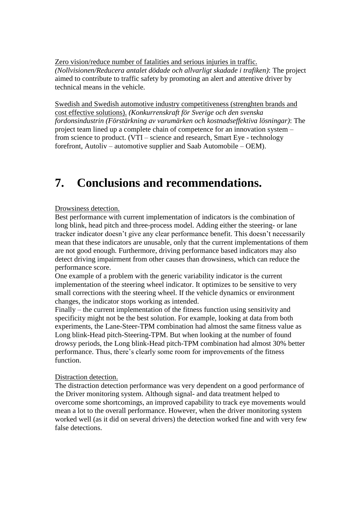Zero vision/reduce number of fatalities and serious injuries in traffic. *(Nollvisionen/Reducera antalet dödade och allvarligt skadade i trafiken)*: The project aimed to contribute to traffic safety by promoting an alert and attentive driver by technical means in the vehicle.

Swedish and Swedish automotive industry competitiveness (strenghten brands and cost effective solutions). *(Konkurrenskraft för Sverige och den svenska fordonsindustrin (Förstärkning av varumärken och kostnadseffektiva lösningar)*: The project team lined up a complete chain of competence for an innovation system – from science to product. (VTI – science and research, Smart Eye - technology forefront, Autoliv – automotive supplier and Saab Automobile – OEM).

# <span id="page-14-0"></span>**7. Conclusions and recommendations.**

#### Drowsiness detection.

Best performance with current implementation of indicators is the combination of long blink, head pitch and three-process model. Adding either the steering- or lane tracker indicator doesn"t give any clear performance benefit. This doesn"t necessarily mean that these indicators are unusable, only that the current implementations of them are not good enough. Furthermore, driving performance based indicators may also detect driving impairment from other causes than drowsiness, which can reduce the performance score.

One example of a problem with the generic variability indicator is the current implementation of the steering wheel indicator. It optimizes to be sensitive to very small corrections with the steering wheel. If the vehicle dynamics or environment changes, the indicator stops working as intended.

Finally – the current implementation of the fitness function using sensitivity and specificity might not be the best solution. For example, looking at data from both experiments, the Lane-Steer-TPM combination had almost the same fitness value as Long blink-Head pitch-Steering-TPM. But when looking at the number of found drowsy periods, the Long blink-Head pitch-TPM combination had almost 30% better performance. Thus, there"s clearly some room for improvements of the fitness function.

#### Distraction detection.

The distraction detection performance was very dependent on a good performance of the Driver monitoring system. Although signal- and data treatment helped to overcome some shortcomings, an improved capability to track eye movements would mean a lot to the overall performance. However, when the driver monitoring system worked well (as it did on several drivers) the detection worked fine and with very few false detections.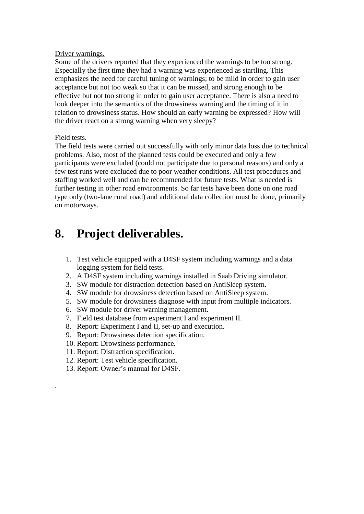#### Driver warnings.

Some of the drivers reported that they experienced the warnings to be too strong. Especially the first time they had a warning was experienced as startling. This emphasizes the need for careful tuning of warnings; to be mild in order to gain user acceptance but not too weak so that it can be missed, and strong enough to be effective but not too strong in order to gain user acceptance. There is also a need to look deeper into the semantics of the drowsiness warning and the timing of it in relation to drowsiness status. How should an early warning be expressed? How will the driver react on a strong warning when very sleepy?

#### Field tests.

.

The field tests were carried out successfully with only minor data loss due to technical problems. Also, most of the planned tests could be executed and only a few participants were excluded (could not participate due to personal reasons) and only a few test runs were excluded due to poor weather conditions. All test procedures and staffing worked well and can be recommended for future tests. What is needed is further testing in other road environments. So far tests have been done on one road type only (two-lane rural road) and additional data collection must be done, primarily on motorways.

### <span id="page-15-0"></span>**8. Project deliverables.**

- 1. Test vehicle equipped with a D4SF system including warnings and a data logging system for field tests.
- 2. A D4SF system including warnings installed in Saab Driving simulator.
- 3. SW module for distraction detection based on AntiSleep system.
- 4. SW module for drowsiness detection based on AntiSleep system.
- 5. SW module for drowsiness diagnose with input from multiple indicators.
- 6. SW module for driver warning management.
- 7. Field test database from experiment I and experiment II.
- 8. Report: Experiment I and II, set-up and execution.
- 9. Report: Drowsiness detection specification.
- 10. Report: Drowsiness performance.
- 11. Report: Distraction specification.
- 12. Report: Test vehicle specification.
- 13. Report: Owner"s manual for D4SF.